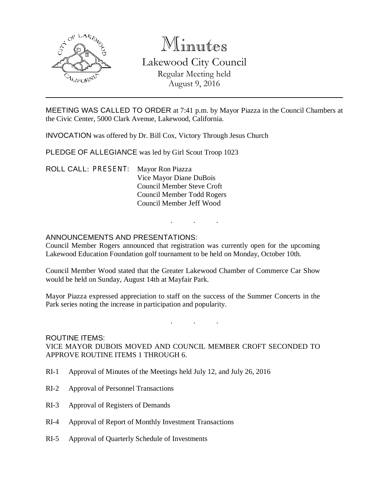

# Minutes Lakewood City Council Regular Meeting held August 9, 2016

MEETING WAS CALLED TO ORDER at 7:41 p.m. by Mayor Piazza in the Council Chambers at the Civic Center, 5000 Clark Avenue, Lakewood, California.

INVOCATION was offered by Dr. Bill Cox, Victory Through Jesus Church

PLEDGE OF ALLEGIANCE was led by Girl Scout Troop 1023

ROLL CALL: PRESENT: Mayor Ron Piazza Vice Mayor Diane DuBois Council Member Steve Croft Council Member Todd Rogers Council Member Jeff Wood

# ANNOUNCEMENTS AND PRESENTATIONS:

Council Member Rogers announced that registration was currently open for the upcoming Lakewood Education Foundation golf tournament to be held on Monday, October 10th.

. . .

Council Member Wood stated that the Greater Lakewood Chamber of Commerce Car Show would be held on Sunday, August 14th at Mayfair Park.

Mayor Piazza expressed appreciation to staff on the success of the Summer Concerts in the Park series noting the increase in participation and popularity.

. . .

#### ROUTINE ITEMS:

VICE MAYOR DUBOIS MOVED AND COUNCIL MEMBER CROFT SECONDED TO APPROVE ROUTINE ITEMS 1 THROUGH 6.

- RI-1 Approval of Minutes of the Meetings held July 12, and July 26, 2016
- RI-2 Approval of Personnel Transactions
- RI-3 Approval of Registers of Demands
- RI-4 Approval of Report of Monthly Investment Transactions
- RI-5 Approval of Quarterly Schedule of Investments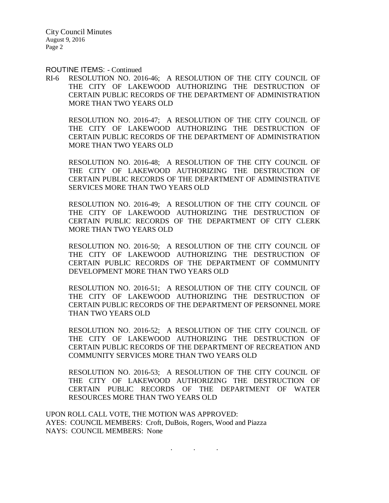ROUTINE ITEMS: - Continued

RI-6 RESOLUTION NO. 2016-46; A RESOLUTION OF THE CITY COUNCIL OF THE CITY OF LAKEWOOD AUTHORIZING THE DESTRUCTION OF CERTAIN PUBLIC RECORDS OF THE DEPARTMENT OF ADMINISTRATION MORE THAN TWO YEARS OLD

RESOLUTION NO. 2016-47; A RESOLUTION OF THE CITY COUNCIL OF THE CITY OF LAKEWOOD AUTHORIZING THE DESTRUCTION OF CERTAIN PUBLIC RECORDS OF THE DEPARTMENT OF ADMINISTRATION MORE THAN TWO YEARS OLD

RESOLUTION NO. 2016-48; A RESOLUTION OF THE CITY COUNCIL OF THE CITY OF LAKEWOOD AUTHORIZING THE DESTRUCTION OF CERTAIN PUBLIC RECORDS OF THE DEPARTMENT OF ADMINISTRATIVE SERVICES MORE THAN TWO YEARS OLD

RESOLUTION NO. 2016-49; A RESOLUTION OF THE CITY COUNCIL OF THE CITY OF LAKEWOOD AUTHORIZING THE DESTRUCTION OF CERTAIN PUBLIC RECORDS OF THE DEPARTMENT OF CITY CLERK MORE THAN TWO YEARS OLD

RESOLUTION NO. 2016-50; A RESOLUTION OF THE CITY COUNCIL OF THE CITY OF LAKEWOOD AUTHORIZING THE DESTRUCTION OF CERTAIN PUBLIC RECORDS OF THE DEPARTMENT OF COMMUNITY DEVELOPMENT MORE THAN TWO YEARS OLD

RESOLUTION NO. 2016-51; A RESOLUTION OF THE CITY COUNCIL OF THE CITY OF LAKEWOOD AUTHORIZING THE DESTRUCTION OF CERTAIN PUBLIC RECORDS OF THE DEPARTMENT OF PERSONNEL MORE THAN TWO YEARS OLD

RESOLUTION NO. 2016-52; A RESOLUTION OF THE CITY COUNCIL OF THE CITY OF LAKEWOOD AUTHORIZING THE DESTRUCTION OF CERTAIN PUBLIC RECORDS OF THE DEPARTMENT OF RECREATION AND COMMUNITY SERVICES MORE THAN TWO YEARS OLD

RESOLUTION NO. 2016-53; A RESOLUTION OF THE CITY COUNCIL OF THE CITY OF LAKEWOOD AUTHORIZING THE DESTRUCTION OF CERTAIN PUBLIC RECORDS OF THE DEPARTMENT OF WATER RESOURCES MORE THAN TWO YEARS OLD

. . .

UPON ROLL CALL VOTE, THE MOTION WAS APPROVED: AYES: COUNCIL MEMBERS: Croft, DuBois, Rogers, Wood and Piazza NAYS: COUNCIL MEMBERS: None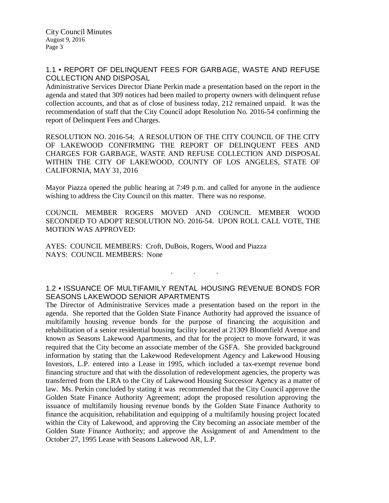# 1.1 • REPORT OF DELINQUENT FEES FOR GARBAGE, WASTE AND REFUSE COLLECTION AND DISPOSAL

Administrative Services Director Diane Perkin made a presentation based on the report in the agenda and stated that 309 notices had been mailed to property owners with delinquent refuse collection accounts, and that as of close of business today, 212 remained unpaid. It was the recommendation of staff that the City Council adopt Resolution No. 2016-54 confirming the report of Delinquent Fees and Charges.

RESOLUTION NO. 2016-54; A RESOLUTION OF THE CITY COUNCIL OF THE CITY OF LAKEWOOD CONFIRMING THE REPORT OF DELINQUENT FEES AND CHARGES FOR GARBAGE, WASTE AND REFUSE COLLECTION AND DISPOSAL WITHIN THE CITY OF LAKEWOOD, COUNTY OF LOS ANGELES, STATE OF CALIFORNIA, MAY 31, 2016

Mayor Piazza opened the public hearing at 7:49 p.m. and called for anyone in the audience wishing to address the City Council on this matter. There was no response.

COUNCIL MEMBER ROGERS MOVED AND COUNCIL MEMBER WOOD SECONDED TO ADOPT RESOLUTION NO. 2016-54. UPON ROLL CALL VOTE, THE MOTION WAS APPROVED:

AYES: COUNCIL MEMBERS: Croft, DuBois, Rogers, Wood and Piazza NAYS: COUNCIL MEMBERS: None

# 1.2 • ISSUANCE OF MULTIFAMILY RENTAL HOUSING REVENUE BONDS FOR SEASONS LAKEWOOD SENIOR APARTMENTS

. . .

The Director of Administrative Services made a presentation based on the report in the agenda. She reported that the Golden State Finance Authority had approved the issuance of multifamily housing revenue bonds for the purpose of financing the acquisition and rehabilitation of a senior residential housing facility located at 21309 Bloomfield Avenue and known as Seasons Lakewood Apartments, and that for the project to move forward, it was required that the City become an associate member of the GSFA. She provided background information by stating that the Lakewood Redevelopment Agency and Lakewood Housing Investors, L.P. entered into a Lease in 1995, which included a tax-exempt revenue bond financing structure and that with the dissolution of redevelopment agencies, the property was transferred from the LRA to the City of Lakewood Housing Successor Agency as a matter of law. Ms. Perkin concluded by stating it was recommended that the City Council approve the Golden State Finance Authority Agreement; adopt the proposed resolution approving the issuance of multifamily housing revenue bonds by the Golden State Finance Authority to finance the acquisition, rehabilitation and equipping of a multifamily housing project located within the City of Lakewood, and approving the City becoming an associate member of the Golden State Finance Authority; and approve the Assignment of and Amendment to the October 27, 1995 Lease with Seasons Lakewood AR, L.P.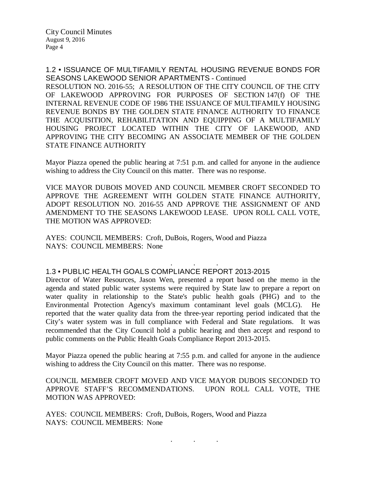1.2 • ISSUANCE OF MULTIFAMILY RENTAL HOUSING REVENUE BONDS FOR SEASONS LAKEWOOD SENIOR APARTMENTS - Continued RESOLUTION NO. 2016-55; A RESOLUTION OF THE CITY COUNCIL OF THE CITY OF LAKEWOOD APPROVING FOR PURPOSES OF SECTION 147(f) OF THE INTERNAL REVENUE CODE OF 1986 THE ISSUANCE OF MULTIFAMILY HOUSING REVENUE BONDS BY THE GOLDEN STATE FINANCE AUTHORITY TO FINANCE THE ACQUISITION, REHABILITATION AND EQUIPPING OF A MULTIFAMILY HOUSING PROJECT LOCATED WITHIN THE CITY OF LAKEWOOD, AND APPROVING THE CITY BECOMING AN ASSOCIATE MEMBER OF THE GOLDEN STATE FINANCE AUTHORITY

Mayor Piazza opened the public hearing at 7:51 p.m. and called for anyone in the audience wishing to address the City Council on this matter. There was no response.

VICE MAYOR DUBOIS MOVED AND COUNCIL MEMBER CROFT SECONDED TO APPROVE THE AGREEMENT WITH GOLDEN STATE FINANCE AUTHORITY, ADOPT RESOLUTION NO. 2016-55 AND APPROVE THE ASSIGNMENT OF AND AMENDMENT TO THE SEASONS LAKEWOOD LEASE. UPON ROLL CALL VOTE, THE MOTION WAS APPROVED:

AYES: COUNCIL MEMBERS: Croft, DuBois, Rogers, Wood and Piazza NAYS: COUNCIL MEMBERS: None

#### . . . 1.3 • PUBLIC HEALTH GOALS COMPLIANCE REPORT 2013-2015

Director of Water Resources, Jason Wen, presented a report based on the memo in the agenda and stated public water systems were required by State law to prepare a report on water quality in relationship to the State's public health goals (PHG) and to the Environmental Protection Agency's maximum contaminant level goals (MCLG). He reported that the water quality data from the three-year reporting period indicated that the City's water system was in full compliance with Federal and State regulations. It was recommended that the City Council hold a public hearing and then accept and respond to public comments on the Public Health Goals Compliance Report 2013-2015.

Mayor Piazza opened the public hearing at 7:55 p.m. and called for anyone in the audience wishing to address the City Council on this matter. There was no response.

COUNCIL MEMBER CROFT MOVED AND VICE MAYOR DUBOIS SECONDED TO APPROVE STAFF'S RECOMMENDATIONS. UPON ROLL CALL VOTE, THE MOTION WAS APPROVED:

. . .

AYES: COUNCIL MEMBERS: Croft, DuBois, Rogers, Wood and Piazza NAYS: COUNCIL MEMBERS: None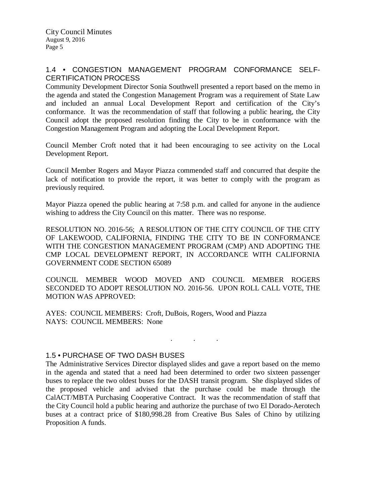# 1.4 • CONGESTION MANAGEMENT PROGRAM CONFORMANCE SELF-CERTIFICATION PROCESS

Community Development Director Sonia Southwell presented a report based on the memo in the agenda and stated the Congestion Management Program was a requirement of State Law and included an annual Local Development Report and certification of the City's conformance. It was the recommendation of staff that following a public hearing, the City Council adopt the proposed resolution finding the City to be in conformance with the Congestion Management Program and adopting the Local Development Report.

Council Member Croft noted that it had been encouraging to see activity on the Local Development Report.

Council Member Rogers and Mayor Piazza commended staff and concurred that despite the lack of notification to provide the report, it was better to comply with the program as previously required.

Mayor Piazza opened the public hearing at 7:58 p.m. and called for anyone in the audience wishing to address the City Council on this matter. There was no response.

RESOLUTION NO. 2016-56; A RESOLUTION OF THE CITY COUNCIL OF THE CITY OF LAKEWOOD, CALIFORNIA, FINDING THE CITY TO BE IN CONFORMANCE WITH THE CONGESTION MANAGEMENT PROGRAM (CMP) AND ADOPTING THE CMP LOCAL DEVELOPMENT REPORT, IN ACCORDANCE WITH CALIFORNIA GOVERNMENT CODE SECTION 65089

COUNCIL MEMBER WOOD MOVED AND COUNCIL MEMBER ROGERS SECONDED TO ADOPT RESOLUTION NO. 2016-56. UPON ROLL CALL VOTE, THE MOTION WAS APPROVED:

AYES: COUNCIL MEMBERS: Croft, DuBois, Rogers, Wood and Piazza NAYS: COUNCIL MEMBERS: None

. . .

# 1.5 • PURCHASE OF TWO DASH BUSES

The Administrative Services Director displayed slides and gave a report based on the memo in the agenda and stated that a need had been determined to order two sixteen passenger buses to replace the two oldest buses for the DASH transit program. She displayed slides of the proposed vehicle and advised that the purchase could be made through the CalACT/MBTA Purchasing Cooperative Contract. It was the recommendation of staff that the City Council hold a public hearing and authorize the purchase of two El Dorado-Aerotech buses at a contract price of \$180,998.28 from Creative Bus Sales of Chino by utilizing Proposition A funds.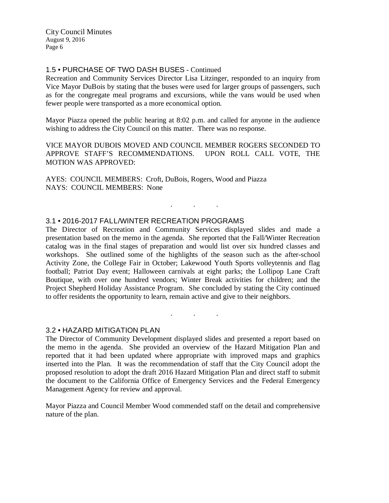# 1.5 • PURCHASE OF TWO DASH BUSES - Continued

Recreation and Community Services Director Lisa Litzinger, responded to an inquiry from Vice Mayor DuBois by stating that the buses were used for larger groups of passengers, such as for the congregate meal programs and excursions, while the vans would be used when fewer people were transported as a more economical option.

Mayor Piazza opened the public hearing at 8:02 p.m. and called for anyone in the audience wishing to address the City Council on this matter. There was no response.

VICE MAYOR DUBOIS MOVED AND COUNCIL MEMBER ROGERS SECONDED TO APPROVE STAFF'S RECOMMENDATIONS. UPON ROLL CALL VOTE, THE MOTION WAS APPROVED:

. . .

AYES: COUNCIL MEMBERS: Croft, DuBois, Rogers, Wood and Piazza NAYS: COUNCIL MEMBERS: None

# 3.1 • 2016-2017 FALL/WINTER RECREATION PROGRAMS

The Director of Recreation and Community Services displayed slides and made a presentation based on the memo in the agenda. She reported that the Fall/Winter Recreation catalog was in the final stages of preparation and would list over six hundred classes and workshops. She outlined some of the highlights of the season such as the after-school Activity Zone, the College Fair in October; Lakewood Youth Sports volleytennis and flag football; Patriot Day event; Halloween carnivals at eight parks; the Lollipop Lane Craft Boutique, with over one hundred vendors; Winter Break activities for children; and the Project Shepherd Holiday Assistance Program. She concluded by stating the City continued to offer residents the opportunity to learn, remain active and give to their neighbors.

### 3.2 • HAZARD MITIGATION PLAN

The Director of Community Development displayed slides and presented a report based on the memo in the agenda. She provided an overview of the Hazard Mitigation Plan and reported that it had been updated where appropriate with improved maps and graphics inserted into the Plan. It was the recommendation of staff that the City Council adopt the proposed resolution to adopt the draft 2016 Hazard Mitigation Plan and direct staff to submit the document to the California Office of Emergency Services and the Federal Emergency Management Agency for review and approval.

. . .

Mayor Piazza and Council Member Wood commended staff on the detail and comprehensive nature of the plan.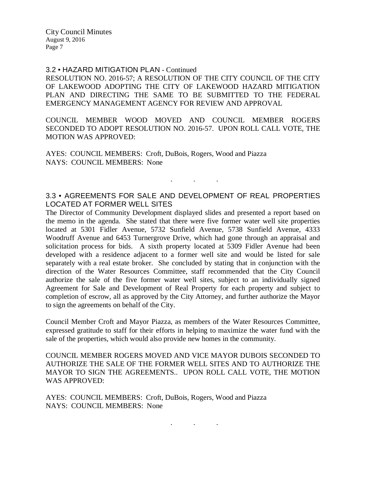### 3.2 • HAZARD MITIGATION PLAN - Continued

RESOLUTION NO. 2016-57; A RESOLUTION OF THE CITY COUNCIL OF THE CITY OF LAKEWOOD ADOPTING THE CITY OF LAKEWOOD HAZARD MITIGATION PLAN AND DIRECTING THE SAME TO BE SUBMITTED TO THE FEDERAL EMERGENCY MANAGEMENT AGENCY FOR REVIEW AND APPROVAL

COUNCIL MEMBER WOOD MOVED AND COUNCIL MEMBER ROGERS SECONDED TO ADOPT RESOLUTION NO. 2016-57. UPON ROLL CALL VOTE, THE MOTION WAS APPROVED:

AYES: COUNCIL MEMBERS: Croft, DuBois, Rogers, Wood and Piazza NAYS: COUNCIL MEMBERS: None

# 3.3 • AGREEMENTS FOR SALE AND DEVELOPMENT OF REAL PROPERTIES LOCATED AT FORMER WELL SITES

. . .

The Director of Community Development displayed slides and presented a report based on the memo in the agenda. She stated that there were five former water well site properties located at 5301 Fidler Avenue, 5732 Sunfield Avenue, 5738 Sunfield Avenue, 4333 Woodruff Avenue and 6453 Turnergrove Drive, which had gone through an appraisal and solicitation process for bids. A sixth property located at 5309 Fidler Avenue had been developed with a residence adjacent to a former well site and would be listed for sale separately with a real estate broker. She concluded by stating that in conjunction with the direction of the Water Resources Committee, staff recommended that the City Council authorize the sale of the five former water well sites, subject to an individually signed Agreement for Sale and Development of Real Property for each property and subject to completion of escrow, all as approved by the City Attorney, and further authorize the Mayor to sign the agreements on behalf of the City.

Council Member Croft and Mayor Piazza, as members of the Water Resources Committee, expressed gratitude to staff for their efforts in helping to maximize the water fund with the sale of the properties, which would also provide new homes in the community.

COUNCIL MEMBER ROGERS MOVED AND VICE MAYOR DUBOIS SECONDED TO AUTHORIZE THE SALE OF THE FORMER WELL SITES AND TO AUTHORIZE THE MAYOR TO SIGN THE AGREEMENTS.. UPON ROLL CALL VOTE, THE MOTION WAS APPROVED:

. . .

AYES: COUNCIL MEMBERS: Croft, DuBois, Rogers, Wood and Piazza NAYS: COUNCIL MEMBERS: None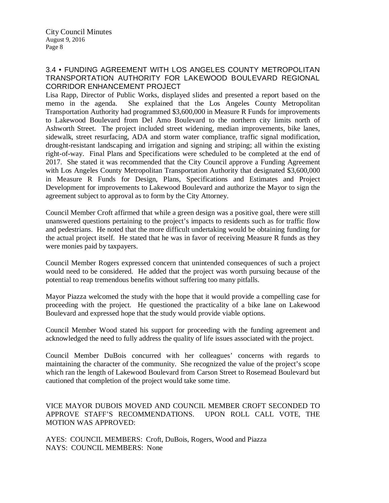# 3.4 • FUNDING AGREEMENT WITH LOS ANGELES COUNTY METROPOLITAN TRANSPORTATION AUTHORITY FOR LAKEWOOD BOULEVARD REGIONAL CORRIDOR ENHANCEMENT PROJECT

Lisa Rapp, Director of Public Works, displayed slides and presented a report based on the memo in the agenda. She explained that the Los Angeles County Metropolitan Transportation Authority had programmed \$3,600,000 in Measure R Funds for improvements to Lakewood Boulevard from Del Amo Boulevard to the northern city limits north of Ashworth Street. The project included street widening, median improvements, bike lanes, sidewalk, street resurfacing, ADA and storm water compliance, traffic signal modification, drought-resistant landscaping and irrigation and signing and striping; all within the existing right-of-way. Final Plans and Specifications were scheduled to be completed at the end of 2017. She stated it was recommended that the City Council approve a Funding Agreement with Los Angeles County Metropolitan Transportation Authority that designated \$3,600,000 in Measure R Funds for Design, Plans, Specifications and Estimates and Project Development for improvements to Lakewood Boulevard and authorize the Mayor to sign the agreement subject to approval as to form by the City Attorney.

Council Member Croft affirmed that while a green design was a positive goal, there were still unanswered questions pertaining to the project's impacts to residents such as for traffic flow and pedestrians. He noted that the more difficult undertaking would be obtaining funding for the actual project itself. He stated that he was in favor of receiving Measure R funds as they were monies paid by taxpayers.

Council Member Rogers expressed concern that unintended consequences of such a project would need to be considered. He added that the project was worth pursuing because of the potential to reap tremendous benefits without suffering too many pitfalls.

Mayor Piazza welcomed the study with the hope that it would provide a compelling case for proceeding with the project. He questioned the practicality of a bike lane on Lakewood Boulevard and expressed hope that the study would provide viable options.

Council Member Wood stated his support for proceeding with the funding agreement and acknowledged the need to fully address the quality of life issues associated with the project.

Council Member DuBois concurred with her colleagues' concerns with regards to maintaining the character of the community. She recognized the value of the project's scope which ran the length of Lakewood Boulevard from Carson Street to Rosemead Boulevard but cautioned that completion of the project would take some time.

VICE MAYOR DUBOIS MOVED AND COUNCIL MEMBER CROFT SECONDED TO APPROVE STAFF'S RECOMMENDATIONS. UPON ROLL CALL VOTE, THE MOTION WAS APPROVED:

AYES: COUNCIL MEMBERS: Croft, DuBois, Rogers, Wood and Piazza NAYS: COUNCIL MEMBERS: None